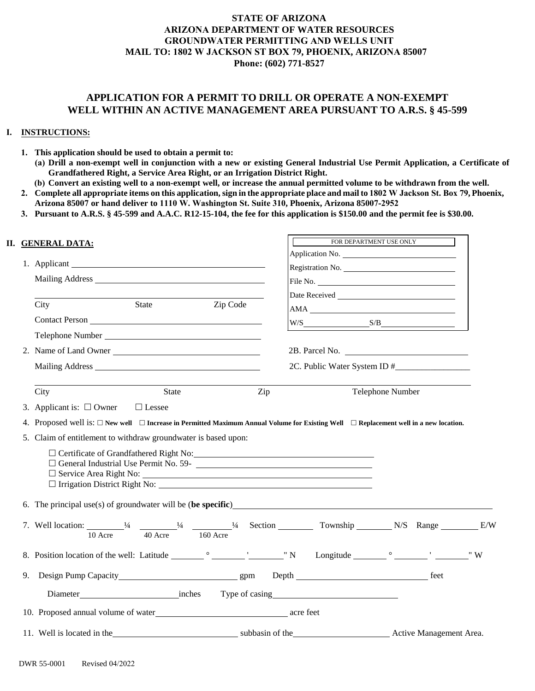## **STATE OF ARIZONA ARIZONA DEPARTMENT OF WATER RESOURCES GROUNDWATER PERMITTING AND WELLS UNIT MAIL TO: 1802 W JACKSON ST BOX 79, PHOENIX, ARIZONA 85007 Phone: (602) 771-8527**

## **APPLICATION FOR A PERMIT TO DRILL OR OPERATE A NON-EXEMPT WELL WITHIN AN ACTIVE MANAGEMENT AREA PURSUANT TO A.R.S. § 45-599**

## **I. INSTRUCTIONS:**

- **1. This application should be used to obtain a permit to:**
	- **(a) Drill a non-exempt well in conjunction with a new or existing General Industrial Use Permit Application, a Certificate of Grandfathered Right, a Service Area Right, or an Irrigation District Right.**
	- **(b) Convert an existing well to a non-exempt well, or increase the annual permitted volume to be withdrawn from the well.**
- **2. Complete all appropriate items on this application, sign in the appropriate place and mail to 1802 W Jackson St. Box 79, Phoenix, Arizona 85007 or hand deliver to 1110 W. Washington St. Suite 310, Phoenix, Arizona 85007-2952**
- **3. Pursuant to A.R.S. § 45-599 and A.A.C. R12-15-104, the fee for this application is \$150.00 and the permit fee is \$30.00.**

|    | II. GENERAL DATA:                                                                                                                                                                                                  |              |          |     | FOR DEPARTMENT USE ONLY |  |
|----|--------------------------------------------------------------------------------------------------------------------------------------------------------------------------------------------------------------------|--------------|----------|-----|-------------------------|--|
|    |                                                                                                                                                                                                                    |              |          |     |                         |  |
|    |                                                                                                                                                                                                                    |              |          |     | Registration No.        |  |
|    |                                                                                                                                                                                                                    |              |          |     |                         |  |
|    | City                                                                                                                                                                                                               | <b>State</b> | Zip Code |     | AMA                     |  |
|    | Contact Person                                                                                                                                                                                                     |              |          |     | $W/S$ $S/B$ $S/B$       |  |
|    |                                                                                                                                                                                                                    |              |          |     |                         |  |
|    | 2. Name of Land Owner                                                                                                                                                                                              |              |          |     |                         |  |
|    |                                                                                                                                                                                                                    |              |          |     |                         |  |
|    | City                                                                                                                                                                                                               | <b>State</b> |          | Zip | Telephone Number        |  |
|    | 3. Applicant is: $\Box$ Owner $\Box$ Lessee                                                                                                                                                                        |              |          |     |                         |  |
|    | 4. Proposed well is: $\Box$ New well $\Box$ Increase in Permitted Maximum Annual Volume for Existing Well $\Box$ Replacement well in a new location.                                                               |              |          |     |                         |  |
|    | 5. Claim of entitlement to withdraw groundwater is based upon:                                                                                                                                                     |              |          |     |                         |  |
|    | $\Box$ General Industrial Use Permit No. 59-                                                                                                                                                                       |              |          |     |                         |  |
|    |                                                                                                                                                                                                                    |              |          |     |                         |  |
|    | 7. Well location: $\frac{1}{4}$ $\frac{1}{40 \text{ Acre}}$ $\frac{1}{40}$ $\frac{1}{40}$ $\frac{1}{40}$ $\frac{1}{40}$ $\frac{1}{40}$ Section $\frac{1}{40}$ Township $\frac{1}{40}$ N/S Range $\frac{1}{40}$ E/W |              |          |     |                         |  |
|    |                                                                                                                                                                                                                    |              |          |     |                         |  |
| 9. |                                                                                                                                                                                                                    |              |          |     |                         |  |
|    |                                                                                                                                                                                                                    |              |          |     |                         |  |
|    |                                                                                                                                                                                                                    |              |          |     |                         |  |
|    | 10. Proposed annual volume of water<br><u>example 2016</u> acre feet                                                                                                                                               |              |          |     |                         |  |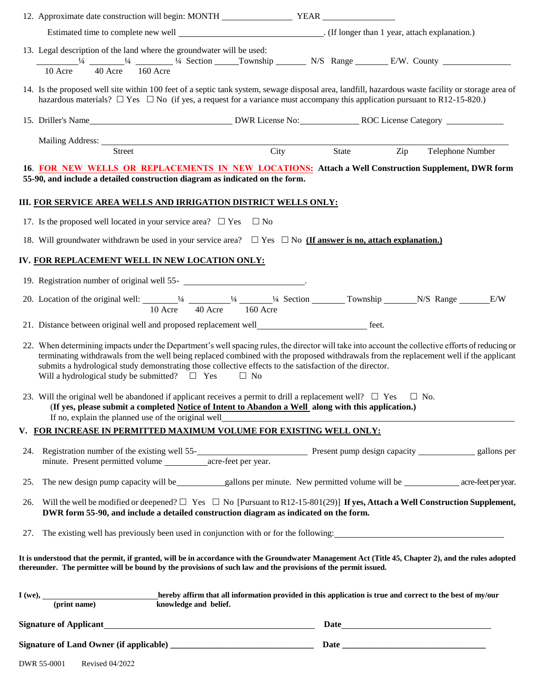|     | 12. Approximate date construction will begin: MONTH YEAR YEAR                                                                                                                                                                                                                                                                                                                                                                                                    |           |       |     |                  |  |
|-----|------------------------------------------------------------------------------------------------------------------------------------------------------------------------------------------------------------------------------------------------------------------------------------------------------------------------------------------------------------------------------------------------------------------------------------------------------------------|-----------|-------|-----|------------------|--|
|     |                                                                                                                                                                                                                                                                                                                                                                                                                                                                  |           |       |     |                  |  |
|     | 13. Legal description of the land where the groundwater will be used:<br>$\frac{1}{4}$ $\frac{1}{4}$ $\frac{1}{4}$ $\frac{1}{4}$ Section $\frac{1}{4}$ Township $\frac{1}{4}$ N/S Range $\frac{1}{4}$ E/W. County<br>10 Acre 40 Acre 160 Acre                                                                                                                                                                                                                    |           |       |     |                  |  |
|     | 14. Is the proposed well site within 100 feet of a septic tank system, sewage disposal area, landfill, hazardous waste facility or storage area of<br>hazardous materials? $\Box$ Yes $\Box$ No (if yes, a request for a variance must accompany this application pursuant to R12-15-820.)                                                                                                                                                                       |           |       |     |                  |  |
|     |                                                                                                                                                                                                                                                                                                                                                                                                                                                                  |           |       |     |                  |  |
|     |                                                                                                                                                                                                                                                                                                                                                                                                                                                                  |           |       |     |                  |  |
|     | Mailing Address: <u>Street</u> City                                                                                                                                                                                                                                                                                                                                                                                                                              |           | State | Zip | Telephone Number |  |
|     | 16. FOR NEW WELLS OR REPLACEMENTS IN NEW LOCATIONS: Attach a Well Construction Supplement, DWR form                                                                                                                                                                                                                                                                                                                                                              |           |       |     |                  |  |
|     | 55-90, and include a detailed construction diagram as indicated on the form.                                                                                                                                                                                                                                                                                                                                                                                     |           |       |     |                  |  |
|     | III. FOR SERVICE AREA WELLS AND IRRIGATION DISTRICT WELLS ONLY:                                                                                                                                                                                                                                                                                                                                                                                                  |           |       |     |                  |  |
|     | 17. Is the proposed well located in your service area? $\Box$ Yes $\Box$ No                                                                                                                                                                                                                                                                                                                                                                                      |           |       |     |                  |  |
|     | 18. Will groundwater withdrawn be used in your service area? $\Box$ Yes $\Box$ No (If answer is no, attach explanation.)                                                                                                                                                                                                                                                                                                                                         |           |       |     |                  |  |
|     | IV. FOR REPLACEMENT WELL IN NEW LOCATION ONLY:                                                                                                                                                                                                                                                                                                                                                                                                                   |           |       |     |                  |  |
|     |                                                                                                                                                                                                                                                                                                                                                                                                                                                                  |           |       |     |                  |  |
|     | 19. Registration number of original well 55-<br>express the contract of the set of original well 55-<br>Set of the set of original well 55-<br>Set of the set of the set of the set of the set of the set of the set of the set of t                                                                                                                                                                                                                             |           |       |     |                  |  |
|     | 20. Location of the original well: $\frac{1}{4} \frac{1}{40 \text{ Acre}}$ $\frac{1}{4} \frac{1}{40 \text{ Acre}}$ $\frac{1}{4} \frac{1}{40 \text{ Acre}}$ $\frac{1}{4} \frac{1}{40 \text{ Acre}}$ $\frac{1}{4} \frac{1}{40 \text{ Acre}}$ $\frac{1}{4} \frac{1}{4} \frac{1}{4} \frac{1}{4} \frac{1}{4} \frac{1}{4} \frac{1}{4} \frac{1}{4} \frac{1}{4} \frac{1}{4}$                                                                                             |           |       |     |                  |  |
|     |                                                                                                                                                                                                                                                                                                                                                                                                                                                                  |           |       |     |                  |  |
|     | 22. When determining impacts under the Department's well spacing rules, the director will take into account the collective efforts of reducing or<br>terminating withdrawals from the well being replaced combined with the proposed withdrawals from the replacement well if the applicant<br>submits a hydrological study demonstrating those collective effects to the satisfaction of the director.<br>Will a hydrological study be submitted? $\square$ Yes | $\Box$ No |       |     |                  |  |
|     | 23. Will the original well be abandoned if applicant receives a permit to drill a replacement well? $\Box$ Yes<br>(If yes, please submit a completed Notice of Intent to Abandon a Well along with this application.)<br>If no, explain the planned use of the original well                                                                                                                                                                                     |           |       |     | $\Box$ No.       |  |
| V.  | FOR INCREASE IN PERMITTED MAXIMUM VOLUME FOR EXISTING WELL ONLY:                                                                                                                                                                                                                                                                                                                                                                                                 |           |       |     |                  |  |
| 24. |                                                                                                                                                                                                                                                                                                                                                                                                                                                                  |           |       |     |                  |  |
| 25. |                                                                                                                                                                                                                                                                                                                                                                                                                                                                  |           |       |     |                  |  |
| 26. | Will the well be modified or deepened? $\Box$ Yes $\Box$ No [Pursuant to R12-15-801(29)] If yes, Attach a Well Construction Supplement,<br>DWR form 55-90, and include a detailed construction diagram as indicated on the form.                                                                                                                                                                                                                                 |           |       |     |                  |  |
| 27. | The existing well has previously been used in conjunction with or for the following:                                                                                                                                                                                                                                                                                                                                                                             |           |       |     |                  |  |
|     | It is understood that the permit, if granted, will be in accordance with the Groundwater Management Act (Title 45, Chapter 2), and the rules adopted<br>thereunder. The permittee will be bound by the provisions of such law and the provisions of the permit issued.                                                                                                                                                                                           |           |       |     |                  |  |
|     |                                                                                                                                                                                                                                                                                                                                                                                                                                                                  |           |       |     |                  |  |
|     | Signature of Applicant<br><u>Signature of Applicant</u>                                                                                                                                                                                                                                                                                                                                                                                                          |           |       |     |                  |  |
|     |                                                                                                                                                                                                                                                                                                                                                                                                                                                                  |           |       |     |                  |  |
|     |                                                                                                                                                                                                                                                                                                                                                                                                                                                                  |           |       |     |                  |  |

| <b>Revised 04/2022</b><br>DWR 55-0001 |
|---------------------------------------|
|---------------------------------------|